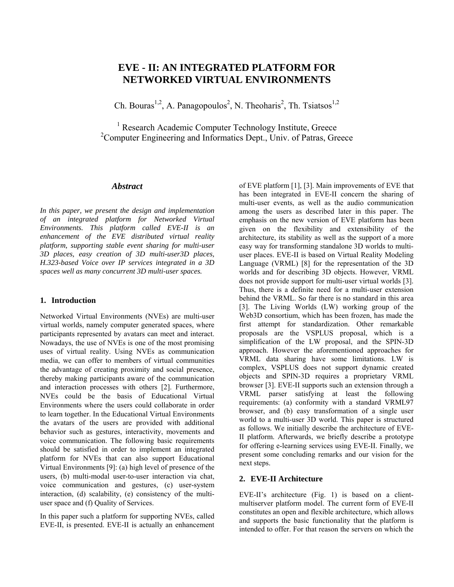# **EVE - II: AN INTEGRATED PLATFORM FOR NETWORKED VIRTUAL ENVIRONMENTS**

Ch. Bouras<sup>1,2</sup>, A. Panagopoulos<sup>2</sup>, N. Theoharis<sup>2</sup>, Th. Tsiatsos<sup>1,2</sup>

<sup>1</sup> Research Academic Computer Technology Institute, Greece <sup>2</sup>Computer Engineering and Informatics Dept., Univ. of Patras, Greece

### *Abstract*

*In this paper, we present the design and implementation of an integrated platform for Networked Virtual Environments. This platform called EVE-II is an enhancement of the EVE distributed virtual reality platform, supporting stable event sharing for multi-user 3D places, easy creation of 3D multi-user3D places, H.323-based Voice over IP services integrated in a 3D spaces well as many concurrent 3D multi-user spaces.* 

#### **1. Introduction**

Networked Virtual Environments (NVEs) are multi-user virtual worlds, namely computer generated spaces, where participants represented by avatars can meet and interact. Nowadays, the use of NVEs is one of the most promising uses of virtual reality. Using NVEs as communication media, we can offer to members of virtual communities the advantage of creating proximity and social presence, thereby making participants aware of the communication and interaction processes with others [\[2\].](#page-4-0) Furthermore, NVEs could be the basis of Educational Virtual Environments where the users could collaborate in order to learn together. In the Educational Virtual Environments the avatars of the users are provided with additional behavior such as gestures, interactivity, movements and voice communication. The following basic requirements should be satisfied in order to implement an integrated platform for NVEs that can also support Educational Virtual Environments [\[9\]:](#page-4-1) (a) high level of presence of the users, (b) multi-modal user-to-user interaction via chat, voice communication and gestures, (c) user-system interaction, (d) scalability, (e) consistency of the multiuser space and (f) Quality of Services.

In this paper such a platform for supporting NVEs, called EVE-II, is presented. EVE-II is actually an enhancement of EVE platform [\[1\],](#page-4-2) [\[3\].](#page-4-3) Main improvements of EVE that has been integrated in EVE-II concern the sharing of multi-user events, as well as the audio communication among the users as described later in this paper. The emphasis on the new version of EVE platform has been given on the flexibility and extensibility of the architecture, its stability as well as the support of a more easy way for transforming standalone 3D worlds to multiuser places. EVE-II is based on Virtual Reality Modeling Language (VRML) [\[8\]](#page-4-4) for the representation of the 3D worlds and for describing 3D objects. However, VRML does not provide support for multi-user virtual worlds [\[3\].](#page-4-3) Thus, there is a definite need for a multi-user extension behind the VRML. So far there is no standard in this area [\[3\].](#page-4-3) The Living Worlds (LW) working group of the Web3D consortium, which has been frozen, has made the first attempt for standardization. Other remarkable proposals are the VSPLUS proposal, which is a simplification of the LW proposal, and the SPIN-3D approach. However the aforementioned approaches for VRML data sharing have some limitations. LW is complex, VSPLUS does not support dynamic created objects and SPIN-3D requires a proprietary VRML browser [\[3\].](#page-4-3) EVE-II supports such an extension through a VRML parser satisfying at least the following requirements: (a) conformity with a standard VRML97 browser, and (b) easy transformation of a single user world to a multi-user 3D world. This paper is structured as follows. We initially describe the architecture of EVE-II platform. Afterwards, we briefly describe a prototype for offering e-learning services using EVE-II. Finally, we present some concluding remarks and our vision for the next steps.

### **2. EVE-II Architecture**

EVE-II's architecture (Fig. 1) is based on a clientmultiserver platform model. The current form of EVE-II constitutes an open and flexible architecture, which allows and supports the basic functionality that the platform is intended to offer. For that reason the servers on which the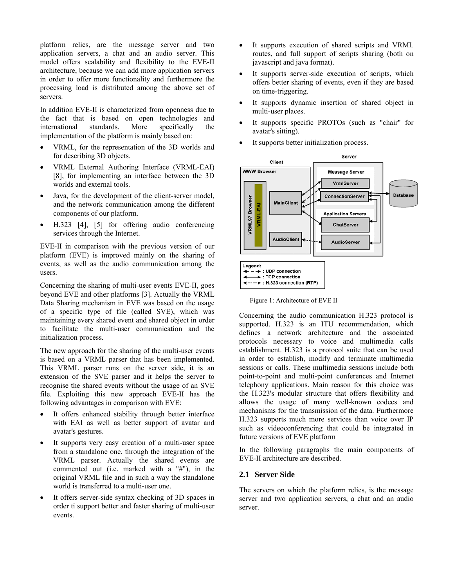platform relies, are the message server and two application servers, a chat and an audio server. This model offers scalability and flexibility to the EVE-II architecture, because we can add more application servers in order to offer more functionality and furthermore the processing load is distributed among the above set of servers.

In addition EVE-II is characterized from openness due to the fact that is based on open technologies and international standards. More specifically the implementation of the platform is mainly based on:

- VRML, for the representation of the 3D worlds and for describing 3D objects.
- VRML External Authoring Interface (VRML-EAI) [\[8\],](#page-4-4) for implementing an interface between the 3D worlds and external tools.
- Java, for the development of the client-server model. and the network communication among the different components of our platform.
- H.323 [\[4\],](#page-4-5) [\[5\]](#page-4-6) for offering audio conferencing services through the Internet.

EVE-II in comparison with the previous version of our platform (EVE) is improved mainly on the sharing of events, as well as the audio communication among the users.

Concerning the sharing of multi-user events EVE-II, goes beyond EVE and other platforms [\[3\].](#page-4-3) Actually the VRML Data Sharing mechanism in EVE was based on the usage of a specific type of file (called SVE), which was maintaining every shared event and shared object in order to facilitate the multi-user communication and the initialization process.

The new approach for the sharing of the multi-user events is based on a VRML parser that has been implemented. This VRML parser runs on the server side, it is an extension of the SVE parser and it helps the server to recognise the shared events without the usage of an SVE file. Exploiting this new approach EVE-II has the following advantages in comparison with EVE:

- It offers enhanced stability through better interface with EAI as well as better support of avatar and avatar's gestures.
- It supports very easy creation of a multi-user space from a standalone one, through the integration of the VRML parser. Actually the shared events are commented out (i.e. marked with a "#"), in the original VRML file and in such a way the standalone world is transferred to a multi-user one.
- It offers server-side syntax checking of 3D spaces in order ti support better and faster sharing of multi-user events.
- It supports execution of shared scripts and VRML routes, and full support of scripts sharing (both on javascript and java format).
- It supports server-side execution of scripts, which offers better sharing of events, even if they are based on time-triggering.
- It supports dynamic insertion of shared object in multi-user places.
- It supports specific PROTOs (such as "chair" for avatar's sitting).
- It supports better initialization process.



Figure 1: Architecture of EVE II

Concerning the audio communication H.323 protocol is supported. H.323 is an ITU recommendation, which defines a network architecture and the associated protocols necessary to voice and multimedia calls establishment. H.323 is a protocol suite that can be used in order to establish, modify and terminate multimedia sessions or calls. These multimedia sessions include both point-to-point and multi-point conferences and Internet telephony applications. Main reason for this choice was the H.323's modular structure that offers flexibility and allows the usage of many well-known codecs and mechanisms for the transmission of the data. Furthermore H.323 supports much more services than voice over IP such as videoconferencing that could be integrated in future versions of EVE platform

In the following paragraphs the main components of EVE-II architecture are described.

### **2.1 Server Side**

The servers on which the platform relies, is the message server and two application servers, a chat and an audio server.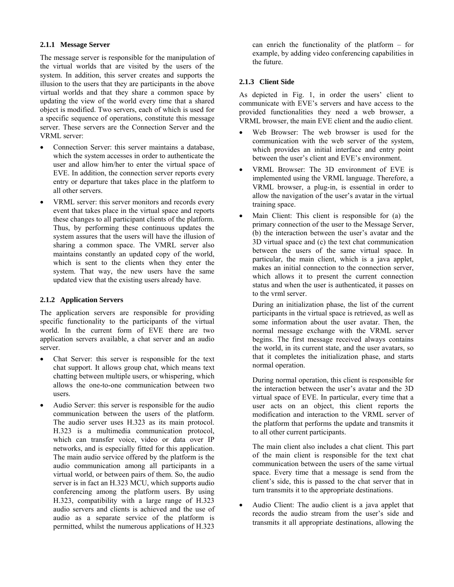### **2.1.1 Message Server**

The message server is responsible for the manipulation of the virtual worlds that are visited by the users of the system. In addition, this server creates and supports the illusion to the users that they are participants in the above virtual worlds and that they share a common space by updating the view of the world every time that a shared object is modified. Two servers, each of which is used for a specific sequence of operations, constitute this message server. These servers are the Connection Server and the VRML server:

- Connection Server: this server maintains a database, which the system accesses in order to authenticate the user and allow him/her to enter the virtual space of EVE. In addition, the connection server reports every entry or departure that takes place in the platform to all other servers.
- VRML server: this server monitors and records every event that takes place in the virtual space and reports these changes to all participant clients of the platform. Thus, by performing these continuous updates the system assures that the users will have the illusion of sharing a common space. The VMRL server also maintains constantly an updated copy of the world, which is sent to the clients when they enter the system. That way, the new users have the same updated view that the existing users already have.

### **2.1.2 Application Servers**

The application servers are responsible for providing specific functionality to the participants of the virtual world. In the current form of EVE there are two application servers available, a chat server and an audio server.

- Chat Server: this server is responsible for the text chat support. It allows group chat, which means text chatting between multiple users, or whispering, which allows the one-to-one communication between two users.
- Audio Server: this server is responsible for the audio communication between the users of the platform. The audio server uses H.323 as its main protocol. H.323 is a multimedia communication protocol, which can transfer voice, video or data over IP networks, and is especially fitted for this application. The main audio service offered by the platform is the audio communication among all participants in a virtual world, or between pairs of them. So, the audio server is in fact an H.323 MCU, which supports audio conferencing among the platform users. By using H.323, compatibility with a large range of H.323 audio servers and clients is achieved and the use of audio as a separate service of the platform is permitted, whilst the numerous applications of H.323

can enrich the functionality of the platform – for example, by adding video conferencing capabilities in the future.

### **2.1.3 Client Side**

As depicted in Fig. 1, in order the users' client to communicate with EVE's servers and have access to the provided functionalities they need a web browser, a VRML browser, the main EVE client and the audio client.

- Web Browser: The web browser is used for the communication with the web server of the system, which provides an initial interface and entry point between the user's client and EVE's environment.
- VRML Browser: The 3D environment of EVE is implemented using the VRML language. Therefore, a VRML browser, a plug-in, is essential in order to allow the navigation of the user's avatar in the virtual training space.
- Main Client: This client is responsible for (a) the primary connection of the user to the Message Server, (b) the interaction between the user's avatar and the 3D virtual space and (c) the text chat communication between the users of the same virtual space. In particular, the main client, which is a java applet, makes an initial connection to the connection server, which allows it to present the current connection status and when the user is authenticated, it passes on to the vrml server.

During an initialization phase, the list of the current participants in the virtual space is retrieved, as well as some information about the user avatar. Then, the normal message exchange with the VRML server begins. The first message received always contains the world, in its current state, and the user avatars, so that it completes the initialization phase, and starts normal operation.

During normal operation, this client is responsible for the interaction between the user's avatar and the 3D virtual space of EVE. In particular, every time that a user acts on an object, this client reports the modification and interaction to the VRML server of the platform that performs the update and transmits it to all other current participants.

The main client also includes a chat client. This part of the main client is responsible for the text chat communication between the users of the same virtual space. Every time that a message is send from the client's side, this is passed to the chat server that in turn transmits it to the appropriate destinations.

• Audio Client: The audio client is a java applet that records the audio stream from the user's side and transmits it all appropriate destinations, allowing the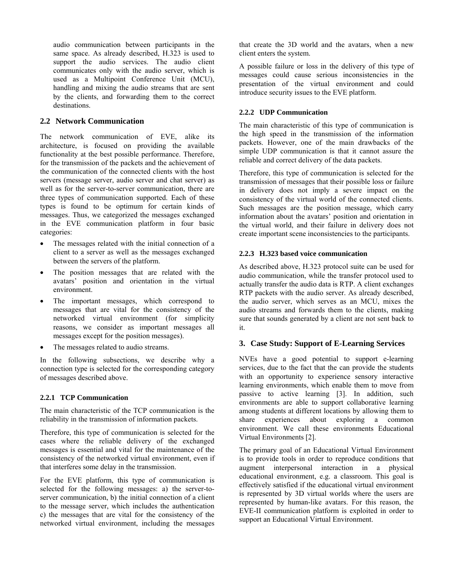audio communication between participants in the same space. As already described, H.323 is used to support the audio services. The audio client communicates only with the audio server, which is used as a Multipoint Conference Unit (MCU), handling and mixing the audio streams that are sent by the clients, and forwarding them to the correct destinations.

## **2.2 Network Communication**

The network communication of EVE, alike its architecture, is focused on providing the available functionality at the best possible performance. Therefore, for the transmission of the packets and the achievement of the communication of the connected clients with the host servers (message server, audio server and chat server) as well as for the server-to-server communication, there are three types of communication supported. Each of these types is found to be optimum for certain kinds of messages. Thus, we categorized the messages exchanged in the EVE communication platform in four basic categories:

- The messages related with the initial connection of a client to a server as well as the messages exchanged between the servers of the platform.
- The position messages that are related with the avatars' position and orientation in the virtual environment.
- The important messages, which correspond to messages that are vital for the consistency of the networked virtual environment (for simplicity reasons, we consider as important messages all messages except for the position messages).
- The messages related to audio streams.

In the following subsections, we describe why a connection type is selected for the corresponding category of messages described above.

### **2.2.1 TCP Communication**

The main characteristic of the TCP communication is the reliability in the transmission of information packets.

Therefore, this type of communication is selected for the cases where the reliable delivery of the exchanged messages is essential and vital for the maintenance of the consistency of the networked virtual environment, even if that interferes some delay in the transmission.

For the EVE platform, this type of communication is selected for the following messages: a) the server-toserver communication, b) the initial connection of a client to the message server, which includes the authentication c) the messages that are vital for the consistency of the networked virtual environment, including the messages that create the 3D world and the avatars, when a new client enters the system.

A possible failure or loss in the delivery of this type of messages could cause serious inconsistencies in the presentation of the virtual environment and could introduce security issues to the EVE platform.

### **2.2.2 UDP Communication**

The main characteristic of this type of communication is the high speed in the transmission of the information packets. However, one of the main drawbacks of the simple UDP communication is that it cannot assure the reliable and correct delivery of the data packets.

Therefore, this type of communication is selected for the transmission of messages that their possible loss or failure in delivery does not imply a severe impact on the consistency of the virtual world of the connected clients. Such messages are the position message, which carry information about the avatars' position and orientation in the virtual world, and their failure in delivery does not create important scene inconsistencies to the participants.

### **2.2.3 H.323 based voice communication**

As described above, H.323 protocol suite can be used for audio communication, while the transfer protocol used to actually transfer the audio data is RTP. A client exchanges RTP packets with the audio server. As already described, the audio server, which serves as an MCU, mixes the audio streams and forwards them to the clients, making sure that sounds generated by a client are not sent back to it.

### **3. Case Study: Support of E-Learning Services**

NVEs have a good potential to support e-learning services, due to the fact that the can provide the students with an opportunity to experience sensory interactive learning environments, which enable them to move from passive to active learning [\[3\].](#page-4-3) In addition, such environments are able to support collaborative learning among students at different locations by allowing them to share experiences about exploring a common environment. We call these environments Educational Virtual Environments [2].

The primary goal of an Educational Virtual Environment is to provide tools in order to reproduce conditions that augment interpersonal interaction in a physical educational environment, e.g. a classroom. This goal is effectively satisfied if the educational virtual environment is represented by 3D virtual worlds where the users are represented by human-like avatars. For this reason, the EVE-II communication platform is exploited in order to support an Educational Virtual Environment.